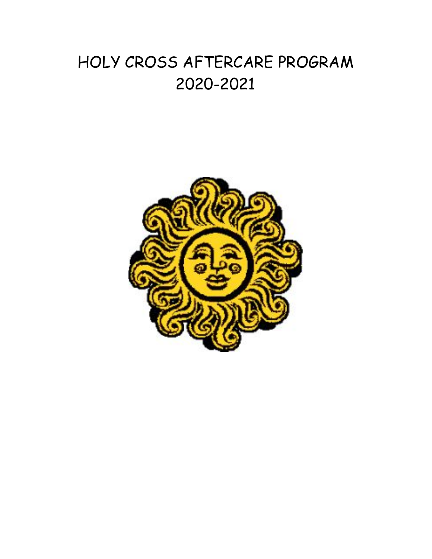# HOLY CROSS AFTERCARE PROGRAM 2020-2021

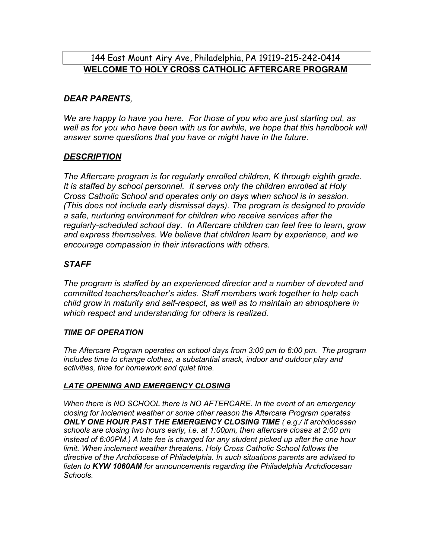# 144 East Mount Airy Ave, Philadelphia, PA 19119-215-242-0414 **WELCOME TO HOLY CROSS CATHOLIC AFTERCARE PROGRAM**

### *DEAR PARENTS,*

*We are happy to have you here. For those of you who are just starting out, as well as for you who have been with us for awhile, we hope that this handbook will answer some questions that you have or might have in the future.*

### *DESCRIPTION*

*The Aftercare program is for regularly enrolled children, K through eighth grade. It is staffed by school personnel. It serves only the children enrolled at Holy Cross Catholic School and operates only on days when school is in session. (This does not include early dismissal days). The program is designed to provide a safe, nurturing environment for children who receive services after the regularly-scheduled school day. In Aftercare children can feel free to learn, grow and express themselves. We believe that children learn by experience, and we encourage compassion in their interactions with others.*

## *STAFF*

*The program is staffed by an experienced director and a number of devoted and committed teachers/teacher's aides. Staff members work together to help each child grow in maturity and self-respect, as well as to maintain an atmosphere in which respect and understanding for others is realized.*

#### *TIME OF OPERATION*

*The Aftercare Program operates on school days from 3:00 pm to 6:00 pm. The program includes time to change clothes, a substantial snack, indoor and outdoor play and activities, time for homework and quiet time.*

### *LATE OPENING AND EMERGENCY CLOSING*

*When there is NO SCHOOL there is NO AFTERCARE. In the event of an emergency closing for inclement weather or some other reason the Aftercare Program operates ONLY ONE HOUR PAST THE EMERGENCY CLOSING TIME ( e.g./ if archdiocesan schools are closing two hours early, i.e. at 1:00pm, then aftercare closes at 2:00 pm instead of 6:00PM.) A late fee is charged for any student picked up after the one hour limit. When inclement weather threatens, Holy Cross Catholic School follows the directive of the Archdiocese of Philadelphia. In such situations parents are advised to listen to KYW 1060AM for announcements regarding the Philadelphia Archdiocesan Schools.*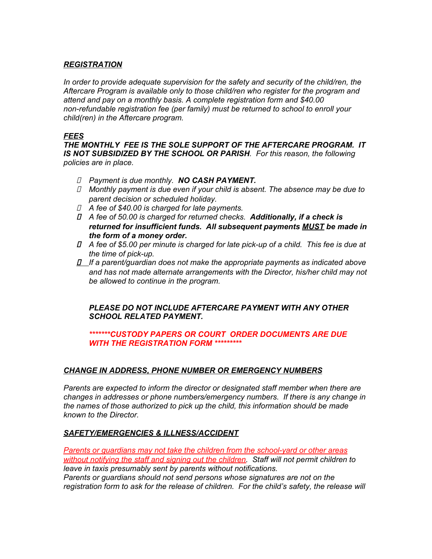#### *REGISTRATION*

*In order to provide adequate supervision for the safety and security of the child/ren, the Aftercare Program is available only to those child/ren who register for the program and attend and pay on a monthly basis. A complete registration form and \$40.00 non-refundable registration fee (per family) must be returned to school to enroll your child(ren) in the Aftercare program.*

#### *FEES*

*THE MONTHLY FEE IS THE SOLE SUPPORT OF THE AFTERCARE PROGRAM. IT IS NOT SUBSIDIZED BY THE SCHOOL OR PARISH. For this reason, the following policies are in place.*

- *Payment is due monthly. NO CASH PAYMENT.*
- *Monthly payment is due even if your child is absent. The absence may be due to parent decision or scheduled holiday.*
- *A fee of \$40.00 is charged for late payments.*
- *A fee of 50.00 is charged for returned checks. Additionally, if a check is returned for insufficient funds. All subsequent payments MUST be made in the form of a money order.*
- *A fee of \$5.00 per minute is charged for late pick-up of a child. This fee is due at the time of pick-up.*
- *If a parent/guardian does not make the appropriate payments as indicated above and has not made alternate arrangements with the Director, his/her child may not be allowed to continue in the program.*

#### *PLEASE DO NOT INCLUDE AFTERCARE PAYMENT WITH ANY OTHER SCHOOL RELATED PAYMENT.*

#### *\*\*\*\*\*\*\*CUSTODY PAPERS OR COURT ORDER DOCUMENTS ARE DUE WITH THE REGISTRATION FORM \*\*\*\*\*\*\*\*\**

#### *CHANGE IN ADDRESS, PHONE NUMBER OR EMERGENCY NUMBERS*

*Parents are expected to inform the director or designated staff member when there are changes in addresses or phone numbers/emergency numbers. If there is any change in the names of those authorized to pick up the child, this information should be made known to the Director.*

#### *SAFETY/EMERGENCIES & ILLNESS/ACCIDENT*

*Parents or guardians may not take the children from the school-yard or other areas without notifying the staff and signing out the children. Staff will not permit children to leave in taxis presumably sent by parents without notifications. Parents or guardians should not send persons whose signatures are not on the registration form to ask for the release of children. For the child's safety, the release will*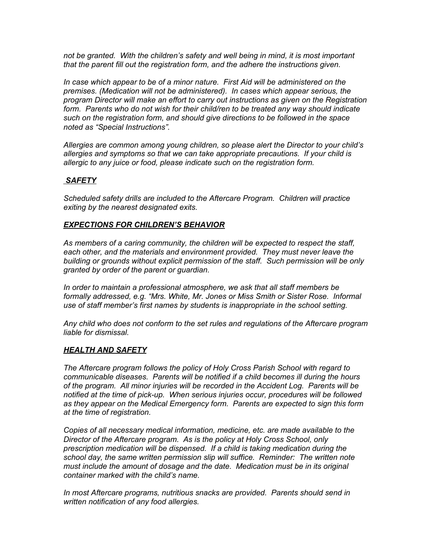*not be granted. With the children's safety and well being in mind, it is most important that the parent fill out the registration form, and the adhere the instructions given.*

*In case which appear to be of a minor nature. First Aid will be administered on the premises. (Medication will not be administered). In cases which appear serious, the program Director will make an effort to carry out instructions as given on the Registration form. Parents who do not wish for their child/ren to be treated any way should indicate such on the registration form, and should give directions to be followed in the space noted as "Special Instructions".*

*Allergies are common among young children, so please alert the Director to your child's allergies and symptoms so that we can take appropriate precautions. If your child is allergic to any juice or food, please indicate such on the registration form.*

#### *SAFETY*

*Scheduled safety drills are included to the Aftercare Program. Children will practice exiting by the nearest designated exits.*

#### *EXPECTIONS FOR CHILDREN'S BEHAVIOR*

*As members of a caring community, the children will be expected to respect the staff, each other, and the materials and environment provided. They must never leave the building or grounds without explicit permission of the staff. Such permission will be only granted by order of the parent or guardian.*

*In order to maintain a professional atmosphere, we ask that all staff members be formally addressed, e.g. "Mrs. White, Mr. Jones or Miss Smith or Sister Rose. Informal use of staff member's first names by students is inappropriate in the school setting.*

*Any child who does not conform to the set rules and regulations of the Aftercare program liable for dismissal.*

#### *HEALTH AND SAFETY*

*The Aftercare program follows the policy of Holy Cross Parish School with regard to communicable diseases. Parents will be notified if a child becomes ill during the hours of the program. All minor injuries will be recorded in the Accident Log. Parents will be notified at the time of pick-up. When serious injuries occur, procedures will be followed as they appear on the Medical Emergency form. Parents are expected to sign this form at the time of registration.*

*Copies of all necessary medical information, medicine, etc. are made available to the Director of the Aftercare program. As is the policy at Holy Cross School, only prescription medication will be dispensed. If a child is taking medication during the school day, the same written permission slip will suffice. Reminder: The written note must include the amount of dosage and the date. Medication must be in its original container marked with the child's name.*

*In most Aftercare programs, nutritious snacks are provided. Parents should send in written notification of any food allergies.*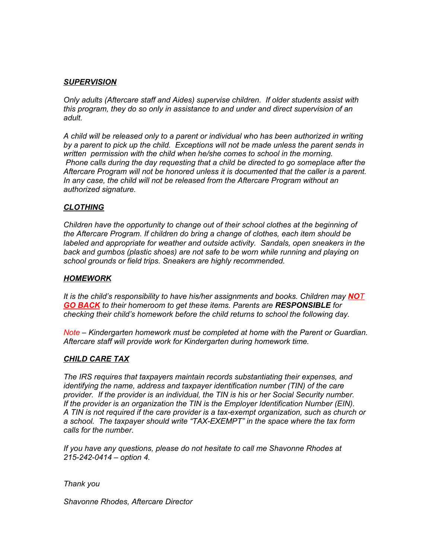#### *SUPERVISION*

*Only adults (Aftercare staff and Aides) supervise children. If older students assist with this program, they do so only in assistance to and under and direct supervision of an adult.*

*A child will be released only to a parent or individual who has been authorized in writing by a parent to pick up the child. Exceptions will not be made unless the parent sends in written permission with the child when he/she comes to school in the morning. Phone calls during the day requesting that a child be directed to go someplace after the Aftercare Program will not be honored unless it is documented that the caller is a parent. In any case, the child will not be released from the Aftercare Program without an authorized signature.*

#### *CLOTHING*

*Children have the opportunity to change out of their school clothes at the beginning of the Aftercare Program. If children do bring a change of clothes, each item should be labeled and appropriate for weather and outside activity. Sandals, open sneakers in the back and gumbos (plastic shoes) are not safe to be worn while running and playing on school grounds or field trips. Sneakers are highly recommended.*

#### *HOMEWORK*

*It is the child's responsibility to have his/her assignments and books. Children may NOT GO BACK to their homeroom to get these items. Parents are RESPONSIBLE for checking their child's homework before the child returns to school the following day.*

*Note – Kindergarten homework must be completed at home with the Parent or Guardian. Aftercare staff will provide work for Kindergarten during homework time.*

#### *CHILD CARE TAX*

*The IRS requires that taxpayers maintain records substantiating their expenses, and identifying the name, address and taxpayer identification number (TIN) of the care provider. If the provider is an individual, the TIN is his or her Social Security number. If the provider is an organization the TIN is the Employer Identification Number (EIN). A TIN is not required if the care provider is a tax-exempt organization, such as church or a school. The taxpayer should write "TAX-EXEMPT" in the space where the tax form calls for the number.*

*If you have any questions, please do not hesitate to call me Shavonne Rhodes at 215-242-0414 – option 4.*

*Thank you*

*Shavonne Rhodes, Aftercare Director*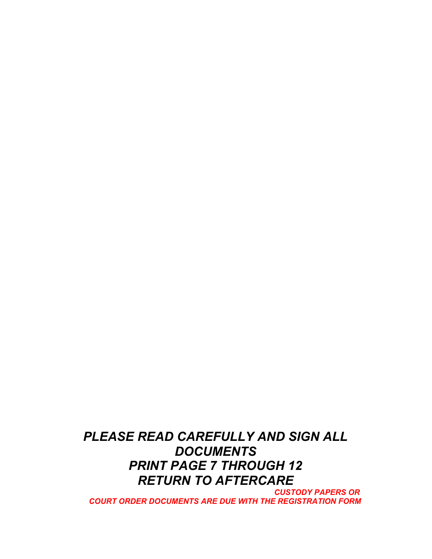*PLEASE READ CAREFULLY AND SIGN ALL DOCUMENTS PRINT PAGE 7 THROUGH 12 RETURN TO AFTERCARE*

*CUSTODY PAPERS OR COURT ORDER DOCUMENTS ARE DUE WITH THE REGISTRATION FORM*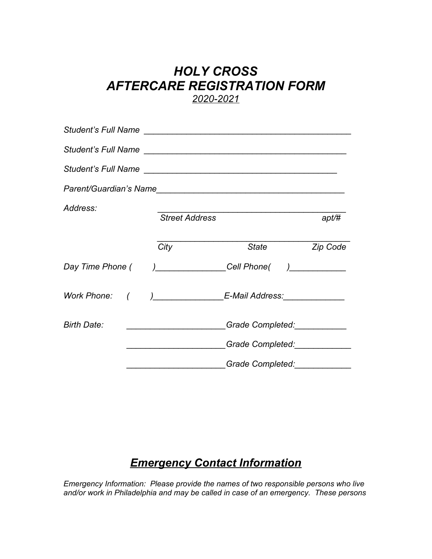# *HOLY CROSS AFTERCARE REGISTRATION FORM 2020-2021*

| Address:           | <b>Street Address</b>                           |                                               | apt/#           |
|--------------------|-------------------------------------------------|-----------------------------------------------|-----------------|
|                    | City                                            | <i><b>State</b></i>                           | <b>Zip Code</b> |
| Day Time Phone (   |                                                 | )_________________Cell Phone(  )_____________ |                 |
| Work Phone: (      |                                                 |                                               |                 |
| <b>Birth Date:</b> | <u> 1980 - Johann John Stone, mars et al. (</u> | Grade Completed: ___________                  |                 |
|                    |                                                 | Grade Completed: Carrier Completed:           |                 |
|                    |                                                 | Grade Completed:                              |                 |

# *Emergency Contact Information*

*Emergency Information: Please provide the names of two responsible persons who live and/or work in Philadelphia and may be called in case of an emergency. These persons*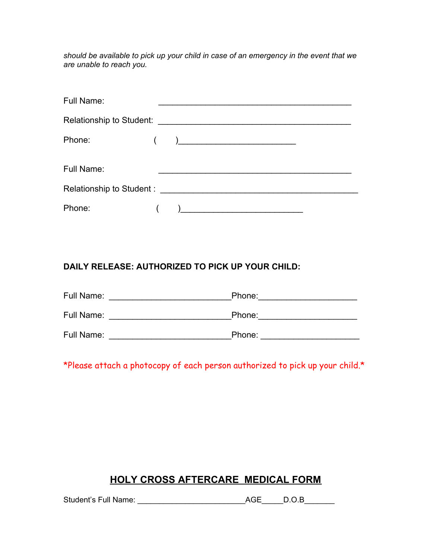*should be available to pick up your child in case of an emergency in the event that we are unable to reach you.*

| Full Name: |                                                     |
|------------|-----------------------------------------------------|
|            |                                                     |
| Phone:     | ) and the contract of the contract of $\mathcal{L}$ |
| Full Name: |                                                     |
|            |                                                     |
|            |                                                     |
| Phone:     | ) and the contract of the contract of $\mathcal{L}$ |

# **DAILY RELEASE: AUTHORIZED TO PICK UP YOUR CHILD:**

| Full Name: | Phone: |
|------------|--------|
| Full Name: | Phone: |
| Full Name: | Phone: |

\*Please attach a photocopy of each person authorized to pick up your child.\*

# **HOLY CROSS AFTERCARE MEDICAL FORM**

Student's Full Name: \_\_\_\_\_\_\_\_\_\_\_\_\_\_\_\_\_\_\_\_\_\_\_\_\_AGE\_\_\_\_\_D.O.B\_\_\_\_\_\_\_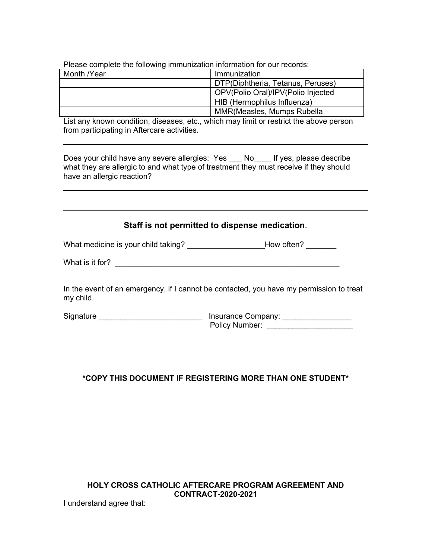| <b>Theodo complete the renoming immunication impringuent for car recorder.</b> |                                    |  |  |  |
|--------------------------------------------------------------------------------|------------------------------------|--|--|--|
| Month /Year                                                                    | Immunization                       |  |  |  |
|                                                                                | DTP(Diphtheria, Tetanus, Peruses)  |  |  |  |
|                                                                                | OPV(Polio Oral)/IPV(Polio Injected |  |  |  |
|                                                                                | HIB (Hermophilus Influenza)        |  |  |  |
|                                                                                | <b>MMR</b> (Measles, Mumps Rubella |  |  |  |

Please complete the following immunization information for our records:

List any known condition, diseases, etc., which may limit or restrict the above person from participating in Aftercare activities.

Does your child have any severe allergies: Yes \_\_\_ No\_\_\_\_ If yes, please describe what they are allergic to and what type of treatment they must receive if they should have an allergic reaction?

#### **Staff is not permitted to dispense medication**.

What medicine is your child taking? Most contained the Moviet of How often?

What is it for? \_\_\_\_\_\_\_\_\_\_\_\_\_\_\_\_\_\_\_\_\_\_\_\_\_\_\_\_\_\_\_\_\_\_\_\_\_\_\_\_\_\_\_\_\_\_\_\_\_\_\_\_

In the event of an emergency, if I cannot be contacted, you have my permission to treat my child.

Signature \_\_\_\_\_\_\_\_\_\_\_\_\_\_\_\_\_\_\_\_\_\_\_\_\_\_\_\_\_\_\_\_\_ Insurance Company: \_\_\_\_\_\_\_\_\_\_\_\_\_\_\_\_\_ Policy Number: \_\_\_\_\_\_\_\_\_\_\_\_\_\_\_\_\_\_\_\_

#### **\*COPY THIS DOCUMENT IF REGISTERING MORE THAN ONE STUDENT\***

#### **HOLY CROSS CATHOLIC AFTERCARE PROGRAM AGREEMENT AND CONTRACT-2020-2021**

I understand agree that: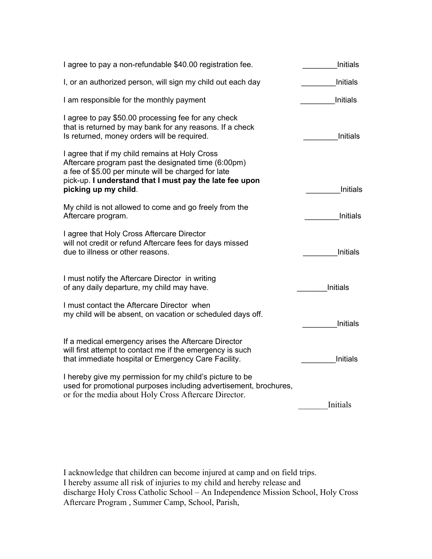| I agree to pay a non-refundable \$40.00 registration fee.                                                                                                                                                                                       | <b>Initials</b> |
|-------------------------------------------------------------------------------------------------------------------------------------------------------------------------------------------------------------------------------------------------|-----------------|
| I, or an authorized person, will sign my child out each day                                                                                                                                                                                     | Initials        |
| I am responsible for the monthly payment                                                                                                                                                                                                        | Initials        |
| I agree to pay \$50.00 processing fee for any check<br>that is returned by may bank for any reasons. If a check<br>Is returned, money orders will be required.                                                                                  | <b>Initials</b> |
| I agree that if my child remains at Holy Cross<br>Aftercare program past the designated time (6:00pm)<br>a fee of \$5.00 per minute will be charged for late<br>pick-up. I understand that I must pay the late fee upon<br>picking up my child. | <b>Initials</b> |
| My child is not allowed to come and go freely from the<br>Aftercare program.                                                                                                                                                                    | <b>Initials</b> |
| I agree that Holy Cross Aftercare Director<br>will not credit or refund Aftercare fees for days missed<br>due to illness or other reasons.                                                                                                      | Initials        |
| I must notify the Aftercare Director in writing<br>of any daily departure, my child may have.                                                                                                                                                   | <b>Initials</b> |
| I must contact the Aftercare Director when<br>my child will be absent, on vacation or scheduled days off.                                                                                                                                       | <b>Initials</b> |
| If a medical emergency arises the Aftercare Director<br>will first attempt to contact me if the emergency is such<br>that immediate hospital or Emergency Care Facility.                                                                        | <b>Initials</b> |
| I hereby give my permission for my child's picture to be<br>used for promotional purposes including advertisement, brochures,<br>or for the media about Holy Cross Aftercare Director.                                                          | Initials        |

I acknowledge that children can become injured at camp and on field trips. I hereby assume all risk of injuries to my child and hereby release and discharge Holy Cross Catholic School – An Independence Mission School, Holy Cross Aftercare Program , Summer Camp, School, Parish,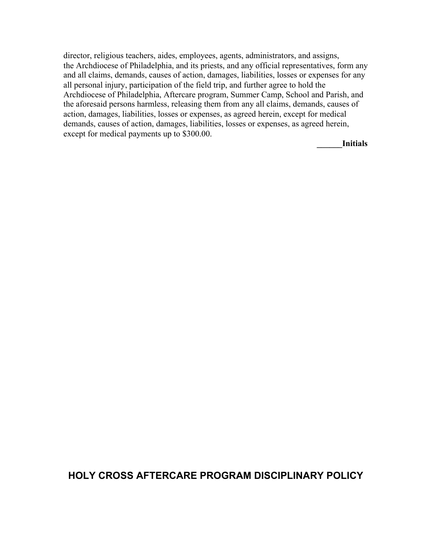director, religious teachers, aides, employees, agents, administrators, and assigns, the Archdiocese of Philadelphia, and its priests, and any official representatives, form any and all claims, demands, causes of action, damages, liabilities, losses or expenses for any all personal injury, participation of the field trip, and further agree to hold the Archdiocese of Philadelphia, Aftercare program, Summer Camp, School and Parish, and the aforesaid persons harmless, releasing them from any all claims, demands, causes of action, damages, liabilities, losses or expenses, as agreed herein, except for medical demands, causes of action, damages, liabilities, losses or expenses, as agreed herein, except for medical payments up to \$300.00.

**\_\_\_\_\_\_Initials**

# **HOLY CROSS AFTERCARE PROGRAM DISCIPLINARY POLICY**